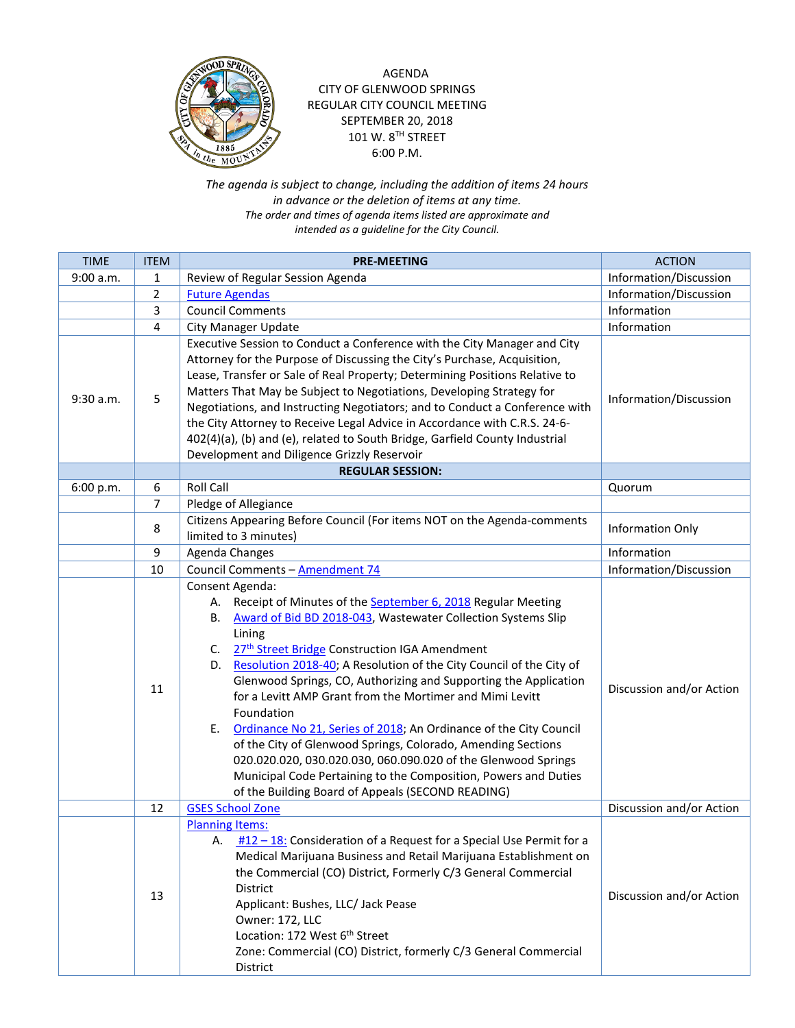

AGENDA CITY OF GLENWOOD SPRINGS REGULAR CITY COUNCIL MEETING SEPTEMBER 20, 2018 101 W. 8TH STREET 6:00 P.M.

*The agenda is subject to change, including the addition of items 24 hours in advance or the deletion of items at any time. The order and times of agenda items listed are approximate and intended as a guideline for the City Council.*

| <b>TIME</b> | <b>ITEM</b>    | <b>PRE-MEETING</b>                                                                                                                                                                                                                                                                                                                                                                                                                                                                                                                                                                                                                                                                                                                                                                                     | <b>ACTION</b>            |
|-------------|----------------|--------------------------------------------------------------------------------------------------------------------------------------------------------------------------------------------------------------------------------------------------------------------------------------------------------------------------------------------------------------------------------------------------------------------------------------------------------------------------------------------------------------------------------------------------------------------------------------------------------------------------------------------------------------------------------------------------------------------------------------------------------------------------------------------------------|--------------------------|
| 9:00 a.m.   | 1              | Review of Regular Session Agenda                                                                                                                                                                                                                                                                                                                                                                                                                                                                                                                                                                                                                                                                                                                                                                       | Information/Discussion   |
|             | $\overline{2}$ | <b>Future Agendas</b>                                                                                                                                                                                                                                                                                                                                                                                                                                                                                                                                                                                                                                                                                                                                                                                  | Information/Discussion   |
|             | 3              | <b>Council Comments</b>                                                                                                                                                                                                                                                                                                                                                                                                                                                                                                                                                                                                                                                                                                                                                                                | Information              |
|             | 4              | City Manager Update                                                                                                                                                                                                                                                                                                                                                                                                                                                                                                                                                                                                                                                                                                                                                                                    | Information              |
| 9:30 a.m.   | 5              | Executive Session to Conduct a Conference with the City Manager and City<br>Attorney for the Purpose of Discussing the City's Purchase, Acquisition,<br>Lease, Transfer or Sale of Real Property; Determining Positions Relative to<br>Matters That May be Subject to Negotiations, Developing Strategy for<br>Negotiations, and Instructing Negotiators; and to Conduct a Conference with<br>the City Attorney to Receive Legal Advice in Accordance with C.R.S. 24-6-<br>402(4)(a), (b) and (e), related to South Bridge, Garfield County Industrial<br>Development and Diligence Grizzly Reservoir                                                                                                                                                                                                  | Information/Discussion   |
|             |                | <b>REGULAR SESSION:</b>                                                                                                                                                                                                                                                                                                                                                                                                                                                                                                                                                                                                                                                                                                                                                                                |                          |
| 6:00 p.m.   | 6              | <b>Roll Call</b>                                                                                                                                                                                                                                                                                                                                                                                                                                                                                                                                                                                                                                                                                                                                                                                       | Quorum                   |
|             | 7              | Pledge of Allegiance                                                                                                                                                                                                                                                                                                                                                                                                                                                                                                                                                                                                                                                                                                                                                                                   |                          |
|             | 8              | Citizens Appearing Before Council (For items NOT on the Agenda-comments<br>limited to 3 minutes)                                                                                                                                                                                                                                                                                                                                                                                                                                                                                                                                                                                                                                                                                                       | <b>Information Only</b>  |
|             | 9              | Agenda Changes                                                                                                                                                                                                                                                                                                                                                                                                                                                                                                                                                                                                                                                                                                                                                                                         | Information              |
|             | 10             | Council Comments - Amendment 74                                                                                                                                                                                                                                                                                                                                                                                                                                                                                                                                                                                                                                                                                                                                                                        | Information/Discussion   |
|             | 11             | Consent Agenda:<br>Receipt of Minutes of the September 6, 2018 Regular Meeting<br>А.<br>Award of Bid BD 2018-043, Wastewater Collection Systems Slip<br>В.<br>Lining<br>27 <sup>th</sup> Street Bridge Construction IGA Amendment<br>C.<br>Resolution 2018-40; A Resolution of the City Council of the City of<br>D.<br>Glenwood Springs, CO, Authorizing and Supporting the Application<br>for a Levitt AMP Grant from the Mortimer and Mimi Levitt<br>Foundation<br>Ordinance No 21, Series of 2018; An Ordinance of the City Council<br>Е.<br>of the City of Glenwood Springs, Colorado, Amending Sections<br>020.020.020, 030.020.030, 060.090.020 of the Glenwood Springs<br>Municipal Code Pertaining to the Composition, Powers and Duties<br>of the Building Board of Appeals (SECOND READING) | Discussion and/or Action |
|             | 12             | <b>GSES School Zone</b>                                                                                                                                                                                                                                                                                                                                                                                                                                                                                                                                                                                                                                                                                                                                                                                | Discussion and/or Action |
|             | 13             | <b>Planning Items:</b><br>A. $\frac{\#12 - 18}{\#12 - 28}$ : Consideration of a Request for a Special Use Permit for a<br>Medical Marijuana Business and Retail Marijuana Establishment on<br>the Commercial (CO) District, Formerly C/3 General Commercial<br><b>District</b><br>Applicant: Bushes, LLC/ Jack Pease<br>Owner: 172, LLC<br>Location: 172 West 6 <sup>th</sup> Street<br>Zone: Commercial (CO) District, formerly C/3 General Commercial<br>District                                                                                                                                                                                                                                                                                                                                    | Discussion and/or Action |